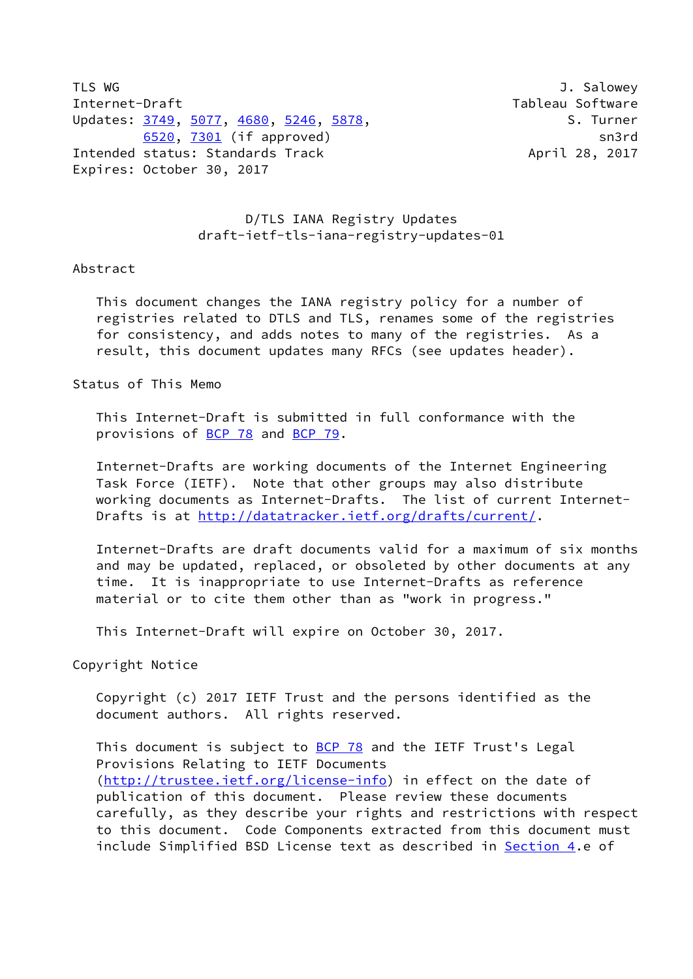TLS WG 3. Salowey 3. Salowey 3. Salowey 3. Salowey 3. Salowey 3. Salowey 3. Salowey 3. Salowey 3. Salowey 3. Salowey Internet-Draft Tableau Software Updates: [3749](https://datatracker.ietf.org/doc/pdf/rfc3749), [5077,](https://datatracker.ietf.org/doc/pdf/rfc5077) [4680](https://datatracker.ietf.org/doc/pdf/rfc4680), [5246](https://datatracker.ietf.org/doc/pdf/rfc5246), [5878](https://datatracker.ietf.org/doc/pdf/rfc5878), S. Turner [6520](https://datatracker.ietf.org/doc/pdf/rfc6520), [7301](https://datatracker.ietf.org/doc/pdf/rfc7301) (if approved) sn3rd Intended status: Standards Track April 28, 2017 Expires: October 30, 2017

## D/TLS IANA Registry Updates draft-ietf-tls-iana-registry-updates-01

## Abstract

 This document changes the IANA registry policy for a number of registries related to DTLS and TLS, renames some of the registries for consistency, and adds notes to many of the registries. As a result, this document updates many RFCs (see updates header).

Status of This Memo

 This Internet-Draft is submitted in full conformance with the provisions of [BCP 78](https://datatracker.ietf.org/doc/pdf/bcp78) and [BCP 79](https://datatracker.ietf.org/doc/pdf/bcp79).

 Internet-Drafts are working documents of the Internet Engineering Task Force (IETF). Note that other groups may also distribute working documents as Internet-Drafts. The list of current Internet Drafts is at<http://datatracker.ietf.org/drafts/current/>.

 Internet-Drafts are draft documents valid for a maximum of six months and may be updated, replaced, or obsoleted by other documents at any time. It is inappropriate to use Internet-Drafts as reference material or to cite them other than as "work in progress."

This Internet-Draft will expire on October 30, 2017.

Copyright Notice

 Copyright (c) 2017 IETF Trust and the persons identified as the document authors. All rights reserved.

This document is subject to **[BCP 78](https://datatracker.ietf.org/doc/pdf/bcp78)** and the IETF Trust's Legal Provisions Relating to IETF Documents [\(http://trustee.ietf.org/license-info](http://trustee.ietf.org/license-info)) in effect on the date of publication of this document. Please review these documents carefully, as they describe your rights and restrictions with respect to this document. Code Components extracted from this document must include Simplified BSD License text as described in [Section 4.](#page-3-0)e of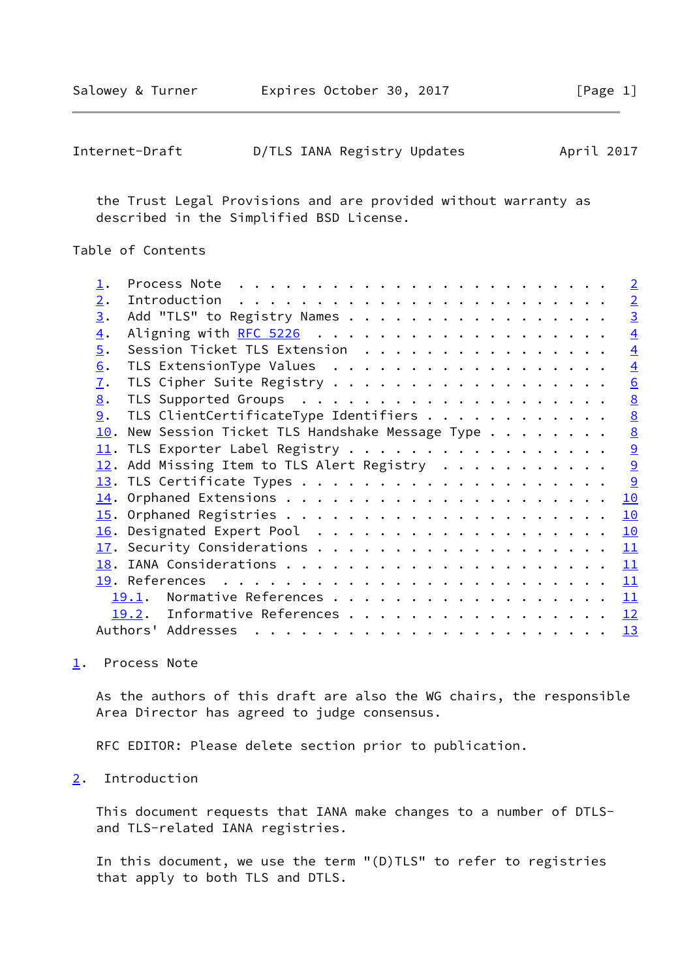<span id="page-1-1"></span>

| Internet-Draft |  | D/TLS IANA Registry Updates | April 2017 |
|----------------|--|-----------------------------|------------|
|----------------|--|-----------------------------|------------|

 the Trust Legal Provisions and are provided without warranty as described in the Simplified BSD License.

Table of Contents

|                  |                                                                                                                                                                                                                                                                                                                                                                                                                                                                                                               | $\overline{2}$  |
|------------------|---------------------------------------------------------------------------------------------------------------------------------------------------------------------------------------------------------------------------------------------------------------------------------------------------------------------------------------------------------------------------------------------------------------------------------------------------------------------------------------------------------------|-----------------|
| 2.               |                                                                                                                                                                                                                                                                                                                                                                                                                                                                                                               | $\overline{2}$  |
| 3.               | Add "TLS" to Registry Names                                                                                                                                                                                                                                                                                                                                                                                                                                                                                   | $\overline{3}$  |
| $\overline{4}$ . |                                                                                                                                                                                                                                                                                                                                                                                                                                                                                                               | $\overline{4}$  |
| 5.               | Session Ticket TLS Extension                                                                                                                                                                                                                                                                                                                                                                                                                                                                                  | $\overline{4}$  |
| 6.               | TLS ExtensionType Values                                                                                                                                                                                                                                                                                                                                                                                                                                                                                      | $\overline{4}$  |
| $\overline{1}$ . | TLS Cipher Suite Registry                                                                                                                                                                                                                                                                                                                                                                                                                                                                                     | 6               |
| 8.               |                                                                                                                                                                                                                                                                                                                                                                                                                                                                                                               | $\underline{8}$ |
| 9.               | TLS ClientCertificateType Identifiers                                                                                                                                                                                                                                                                                                                                                                                                                                                                         | 8               |
| 10.              | New Session Ticket TLS Handshake Message Type                                                                                                                                                                                                                                                                                                                                                                                                                                                                 | 8               |
| 11.              | TLS Exporter Label Registry                                                                                                                                                                                                                                                                                                                                                                                                                                                                                   | $\underline{9}$ |
| 12.              | Add Missing Item to TLS Alert Registry                                                                                                                                                                                                                                                                                                                                                                                                                                                                        | 9               |
|                  |                                                                                                                                                                                                                                                                                                                                                                                                                                                                                                               | 9               |
|                  |                                                                                                                                                                                                                                                                                                                                                                                                                                                                                                               | 10              |
|                  |                                                                                                                                                                                                                                                                                                                                                                                                                                                                                                               | 10              |
|                  |                                                                                                                                                                                                                                                                                                                                                                                                                                                                                                               | 10              |
|                  |                                                                                                                                                                                                                                                                                                                                                                                                                                                                                                               | 11              |
|                  |                                                                                                                                                                                                                                                                                                                                                                                                                                                                                                               | 11              |
|                  |                                                                                                                                                                                                                                                                                                                                                                                                                                                                                                               | 11              |
|                  | Normative References<br>19.1.                                                                                                                                                                                                                                                                                                                                                                                                                                                                                 | 11              |
|                  | Informative References<br>19.2.                                                                                                                                                                                                                                                                                                                                                                                                                                                                               | 12              |
|                  | Authors' Addresses<br>$\mathbf{r}^{\mathsf{T}} \cdot \mathbf{r}^{\mathsf{T}} \cdot \mathbf{r}^{\mathsf{T}} \cdot \mathbf{r}^{\mathsf{T}} \cdot \mathbf{r}^{\mathsf{T}} \cdot \mathbf{r}^{\mathsf{T}} \cdot \mathbf{r}^{\mathsf{T}} \cdot \mathbf{r}^{\mathsf{T}} \cdot \mathbf{r}^{\mathsf{T}} \cdot \mathbf{r}^{\mathsf{T}} \cdot \mathbf{r}^{\mathsf{T}} \cdot \mathbf{r}^{\mathsf{T}} \cdot \mathbf{r}^{\mathsf{T}} \cdot \mathbf{r}^{\mathsf{T}} \cdot \mathbf{r}^{\mathsf{T}} \cdot \mathbf{r}^{\mathsf$ | 13              |
|                  |                                                                                                                                                                                                                                                                                                                                                                                                                                                                                                               |                 |

<span id="page-1-0"></span>[1](#page-1-0). Process Note

 As the authors of this draft are also the WG chairs, the responsible Area Director has agreed to judge consensus.

RFC EDITOR: Please delete section prior to publication.

<span id="page-1-2"></span>[2](#page-1-2). Introduction

 This document requests that IANA make changes to a number of DTLS and TLS-related IANA registries.

 In this document, we use the term "(D)TLS" to refer to registries that apply to both TLS and DTLS.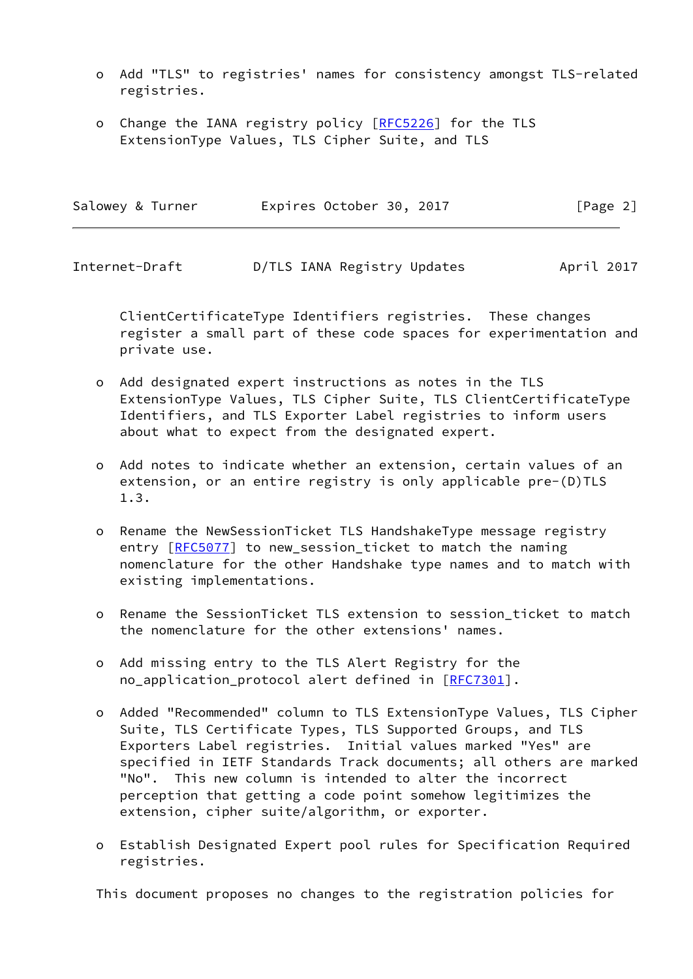- o Add "TLS" to registries' names for consistency amongst TLS-related registries.
- o Change the IANA registry policy [[RFC5226\]](https://datatracker.ietf.org/doc/pdf/rfc5226) for the TLS ExtensionType Values, TLS Cipher Suite, and TLS

| Salowey & Turner | Expires October 30, 2017 | [Page 2] |
|------------------|--------------------------|----------|
|                  |                          |          |

<span id="page-2-0"></span>Internet-Draft D/TLS IANA Registry Updates April 2017

 ClientCertificateType Identifiers registries. These changes register a small part of these code spaces for experimentation and private use.

- o Add designated expert instructions as notes in the TLS ExtensionType Values, TLS Cipher Suite, TLS ClientCertificateType Identifiers, and TLS Exporter Label registries to inform users about what to expect from the designated expert.
- o Add notes to indicate whether an extension, certain values of an extension, or an entire registry is only applicable pre-(D)TLS 1.3.
- o Rename the NewSessionTicket TLS HandshakeType message registry entry [\[RFC5077](https://datatracker.ietf.org/doc/pdf/rfc5077)] to new\_session\_ticket to match the naming nomenclature for the other Handshake type names and to match with existing implementations.
- o Rename the SessionTicket TLS extension to session\_ticket to match the nomenclature for the other extensions' names.
- o Add missing entry to the TLS Alert Registry for the no\_application\_protocol alert defined in [\[RFC7301](https://datatracker.ietf.org/doc/pdf/rfc7301)].
- o Added "Recommended" column to TLS ExtensionType Values, TLS Cipher Suite, TLS Certificate Types, TLS Supported Groups, and TLS Exporters Label registries. Initial values marked "Yes" are specified in IETF Standards Track documents; all others are marked "No". This new column is intended to alter the incorrect perception that getting a code point somehow legitimizes the extension, cipher suite/algorithm, or exporter.
- o Establish Designated Expert pool rules for Specification Required registries.

This document proposes no changes to the registration policies for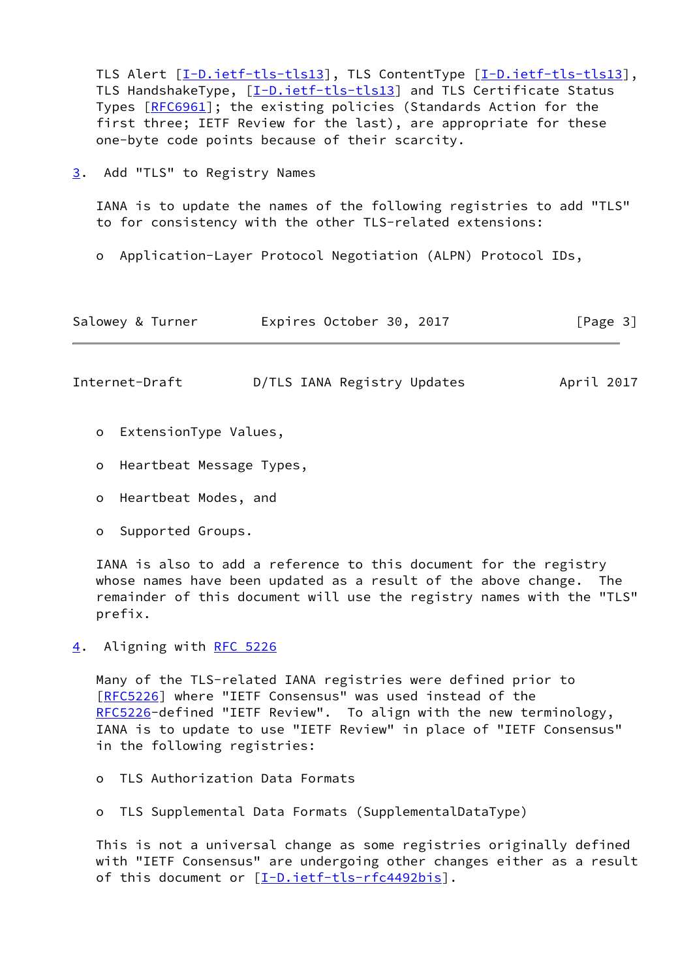TLS Alert [[I-D.ietf-tls-tls13\]](#page-12-3), TLS ContentType [\[I-D.ietf-tls-tls13\]](#page-12-3), TLS HandshakeType, [[I-D.ietf-tls-tls13\]](#page-12-3) and TLS Certificate Status Types [[RFC6961](https://datatracker.ietf.org/doc/pdf/rfc6961)]; the existing policies (Standards Action for the first three; IETF Review for the last), are appropriate for these one-byte code points because of their scarcity.

<span id="page-3-1"></span>[3](#page-3-1). Add "TLS" to Registry Names

 IANA is to update the names of the following registries to add "TLS" to for consistency with the other TLS-related extensions:

o Application-Layer Protocol Negotiation (ALPN) Protocol IDs,

| Salowey & Turner | Expires October 30, 2017 |  | [Page 3] |
|------------------|--------------------------|--|----------|
|------------------|--------------------------|--|----------|

<span id="page-3-2"></span>Internet-Draft D/TLS IANA Registry Updates April 2017

- o ExtensionType Values,
- o Heartbeat Message Types,
- o Heartbeat Modes, and
- o Supported Groups.

 IANA is also to add a reference to this document for the registry whose names have been updated as a result of the above change. The remainder of this document will use the registry names with the "TLS" prefix.

<span id="page-3-0"></span>[4](#page-3-0). Aligning with [RFC 5226](https://datatracker.ietf.org/doc/pdf/rfc5226)

 Many of the TLS-related IANA registries were defined prior to [\[RFC5226](https://datatracker.ietf.org/doc/pdf/rfc5226)] where "IETF Consensus" was used instead of the [RFC5226](https://datatracker.ietf.org/doc/pdf/rfc5226)-defined "IETF Review". To align with the new terminology, IANA is to update to use "IETF Review" in place of "IETF Consensus" in the following registries:

o TLS Authorization Data Formats

o TLS Supplemental Data Formats (SupplementalDataType)

 This is not a universal change as some registries originally defined with "IETF Consensus" are undergoing other changes either as a result of this document or [\[I-D.ietf-tls-rfc4492bis](#page-13-2)].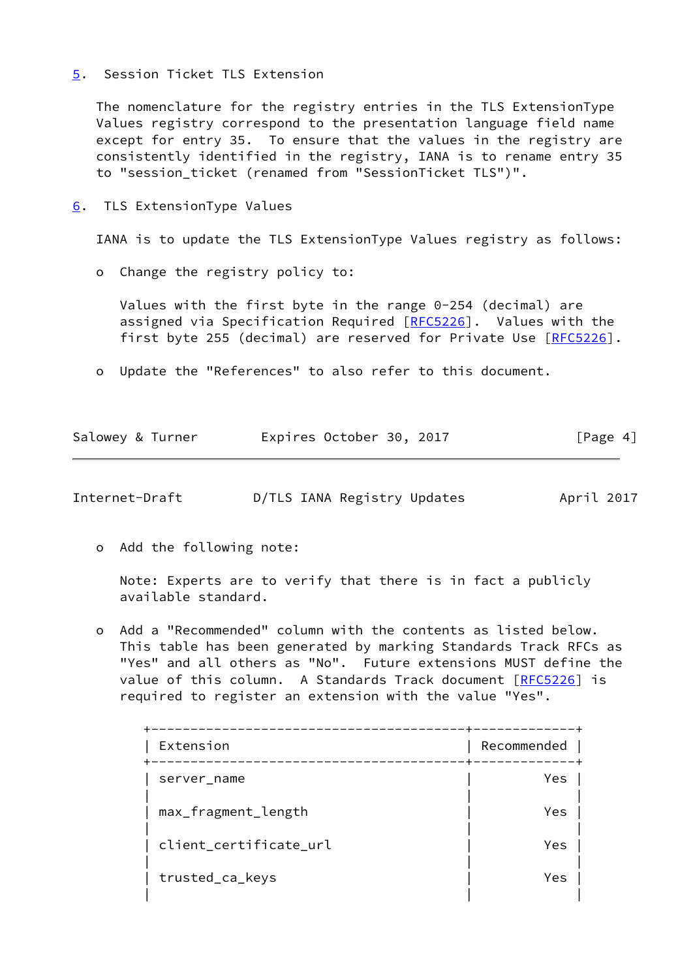## <span id="page-4-0"></span>[5](#page-4-0). Session Ticket TLS Extension

 The nomenclature for the registry entries in the TLS ExtensionType Values registry correspond to the presentation language field name except for entry 35. To ensure that the values in the registry are consistently identified in the registry, IANA is to rename entry 35 to "session\_ticket (renamed from "SessionTicket TLS")".

<span id="page-4-1"></span>[6](#page-4-1). TLS ExtensionType Values

IANA is to update the TLS ExtensionType Values registry as follows:

o Change the registry policy to:

 Values with the first byte in the range 0-254 (decimal) are assigned via Specification Required [\[RFC5226](https://datatracker.ietf.org/doc/pdf/rfc5226)]. Values with the first byte 255 (decimal) are reserved for Private Use [\[RFC5226](https://datatracker.ietf.org/doc/pdf/rfc5226)].

o Update the "References" to also refer to this document.

| Salowey & Turner | Expires October 30, 2017 | [Page 4] |
|------------------|--------------------------|----------|
|                  |                          |          |

Internet-Draft D/TLS IANA Registry Updates April 2017

o Add the following note:

 Note: Experts are to verify that there is in fact a publicly available standard.

 o Add a "Recommended" column with the contents as listed below. This table has been generated by marking Standards Track RFCs as "Yes" and all others as "No". Future extensions MUST define the value of this column. A Standards Track document [\[RFC5226](https://datatracker.ietf.org/doc/pdf/rfc5226)] is required to register an extension with the value "Yes".

| Extension              | Recommended |
|------------------------|-------------|
| server_name            | Yes         |
| max_fragment_length    | Yes         |
| client_certificate_url | Yes         |
| trusted_ca_keys        | Yes         |
|                        |             |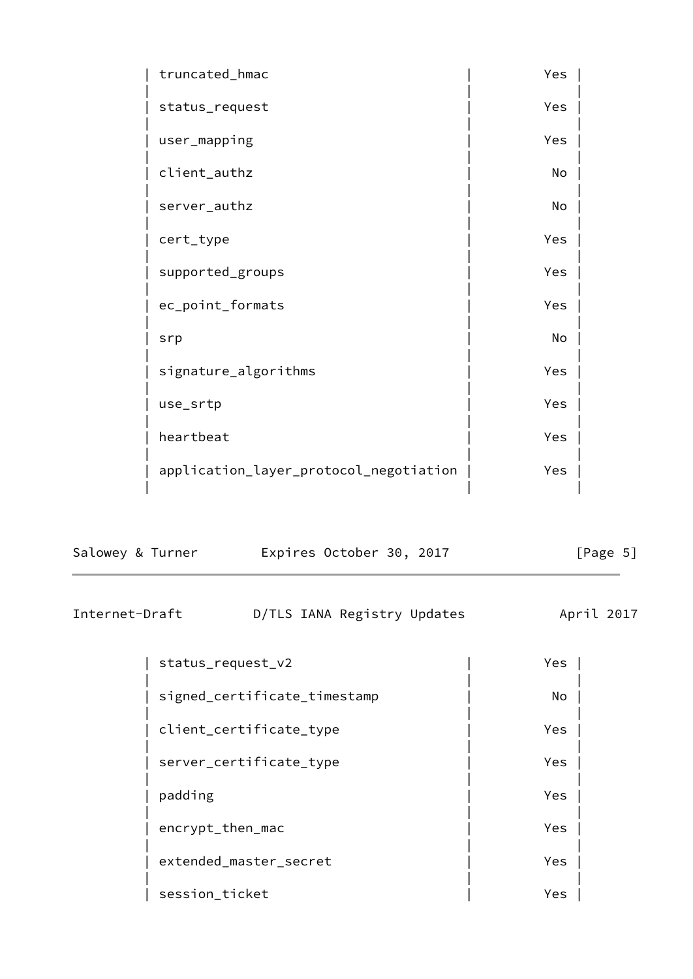| truncated_hmac                         | Yes |  |
|----------------------------------------|-----|--|
| status_request                         | Yes |  |
| user_mapping                           | Yes |  |
| client_authz                           | No  |  |
| server_authz                           | No  |  |
| cert_type                              | Yes |  |
| supported_groups                       | Yes |  |
| ec_point_formats                       | Yes |  |
| srp                                    | No  |  |
| signature_algorithms                   | Yes |  |
| use_srtp                               | Yes |  |
| heartbeat                              | Yes |  |
| application_layer_protocol_negotiation | Yes |  |
|                                        |     |  |

| Salowey & Turner | Expires October 30, 2017 | [Page 5] |
|------------------|--------------------------|----------|
|------------------|--------------------------|----------|

<span id="page-5-0"></span>Internet-Draft D/TLS IANA Registry Updates April 2017

| status_request_v2            | Yes |
|------------------------------|-----|
| signed_certificate_timestamp | No  |
| client_certificate_type      | Yes |
| server_certificate_type      | Yes |
| padding                      | Yes |
| encrypt_then_mac             | Yes |
| extended_master_secret       | Yes |
| session_ticket               | Yes |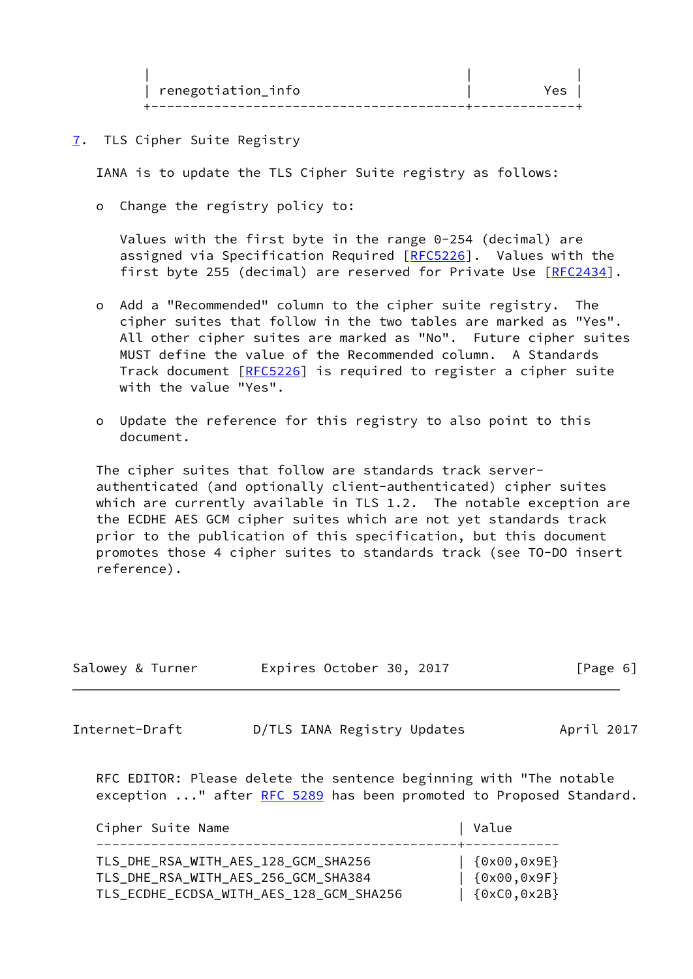| renegotiation_info ` |  |
|----------------------|--|
|                      |  |

<span id="page-6-0"></span>[7](#page-6-0). TLS Cipher Suite Registry

IANA is to update the TLS Cipher Suite registry as follows:

o Change the registry policy to:

 Values with the first byte in the range 0-254 (decimal) are assigned via Specification Required [\[RFC5226](https://datatracker.ietf.org/doc/pdf/rfc5226)]. Values with the first byte 255 (decimal) are reserved for Private Use [\[RFC2434](https://datatracker.ietf.org/doc/pdf/rfc2434)].

- o Add a "Recommended" column to the cipher suite registry. The cipher suites that follow in the two tables are marked as "Yes". All other cipher suites are marked as "No". Future cipher suites MUST define the value of the Recommended column. A Standards Track document [[RFC5226](https://datatracker.ietf.org/doc/pdf/rfc5226)] is required to register a cipher suite with the value "Yes".
- o Update the reference for this registry to also point to this document.

 The cipher suites that follow are standards track server authenticated (and optionally client-authenticated) cipher suites which are currently available in TLS 1.2. The notable exception are the ECDHE AES GCM cipher suites which are not yet standards track prior to the publication of this specification, but this document promotes those 4 cipher suites to standards track (see TO-DO insert reference).

| Salowey & Turner | Expires October 30, 2017                                                                                                                 | [Page 6]   |
|------------------|------------------------------------------------------------------------------------------------------------------------------------------|------------|
| Internet-Draft   | D/TLS IANA Registry Updates                                                                                                              | April 2017 |
|                  | RFC EDITOR: Please delete the sentence beginning with "The notable<br>exception " after RFC 5289 has been promoted to Proposed Standard. |            |

| Cipher Suite Name                                                                                                     | Value                                      |
|-----------------------------------------------------------------------------------------------------------------------|--------------------------------------------|
| TLS_DHE_RSA_WITH_AES_128_GCM_SHA256<br>TLS_DHE_RSA_WITH_AES_256_GCM_SHA384<br>TLS_ECDHE_ECDSA_WITH_AES_128_GCM_SHA256 | [6x00,0x9E]<br>[6x00,0x9F]<br>[6xC0, 0x2B] |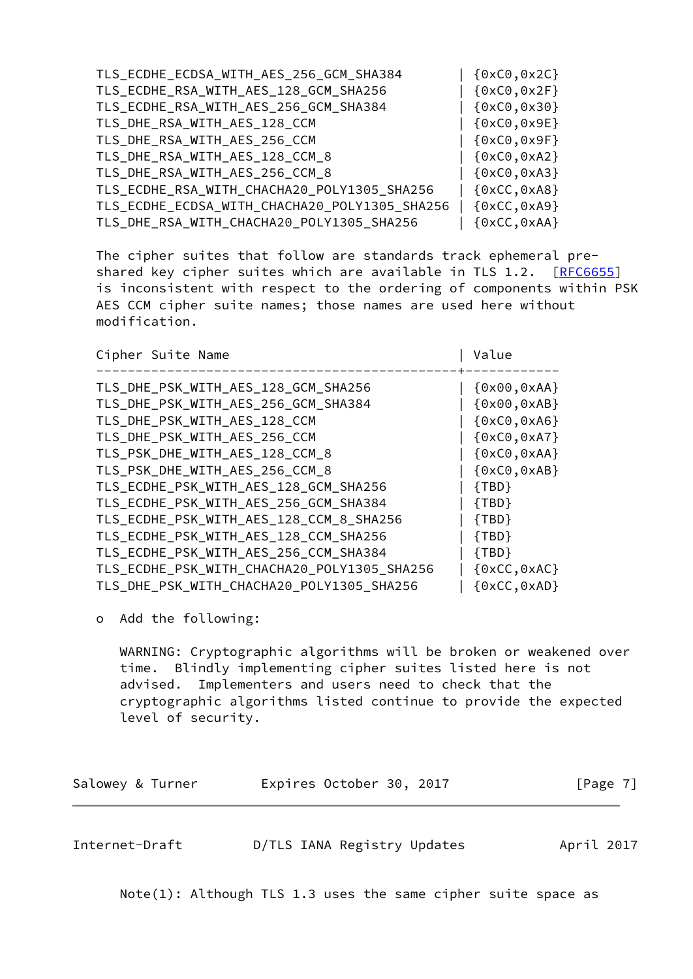| TLS_ECDHE_ECDSA_WITH_AES_256_GCM_SHA384       | $\{0xC0, 0x2C\}$ |
|-----------------------------------------------|------------------|
| TLS_ECDHE_RSA_WITH_AES_128_GCM_SHA256         | $\{0xC0, 0x2F\}$ |
| TLS_ECDHE_RSA_WITH_AES_256_GCM_SHA384         | ${0xC0, 0x30}$   |
| TLS_DHE_RSA_WITH_AES_128_CCM                  | ${0xC0,0x9E}$    |
| TLS_DHE_RSA_WITH_AES_256_CCM                  | ${0xC0,0x9F}$    |
| TLS_DHE_RSA_WITH_AES_128_CCM_8                | $\{0xC0, 0xA2\}$ |
| TLS_DHE_RSA_WITH_AES_256_CCM_8                | ${0xC0, 0xA3}$   |
| TLS_ECDHE_RSA_WITH_CHACHA20_POLY1305_SHA256   | ${0xCC, 0xA8}$   |
| TLS_ECDHE_ECDSA_WITH_CHACHA20_POLY1305_SHA256 | ${0xCC, 0xA9}$   |
| TLS_DHE_RSA_WITH_CHACHA20_POLY1305_SHA256     | $\{0xCC, 0xAA\}$ |

 The cipher suites that follow are standards track ephemeral pre- shared key cipher suites which are available in TLS 1.2. [[RFC6655](https://datatracker.ietf.org/doc/pdf/rfc6655)] is inconsistent with respect to the ordering of components within PSK AES CCM cipher suite names; those names are used here without modification.

| Cipher Suite Name                           | Value                          |
|---------------------------------------------|--------------------------------|
| TLS_DHE_PSK_WITH_AES_128_GCM_SHA256         | $\{0x00, 0xAA\}$               |
| TLS_DHE_PSK_WITH_AES_256_GCM_SHA384         | ${0x00, 0xAB}$                 |
| TLS_DHE_PSK_WITH_AES_128_CCM                | $\{0xC0, 0xA6\}$               |
| TLS_DHE_PSK_WITH_AES_256_CCM                | $\{0xC0, 0xA7\}$               |
| TLS_PSK_DHE_WITH_AES_128_CCM_8              | $\{0xC0, 0xAA\}$               |
| TLS_PSK_DHE_WITH_AES_256_CCM_8              | $\{0xC0, 0xAB\}$               |
| TLS_ECDHE_PSK_WITH_AES_128_GCM_SHA256       | ${TBD}$                        |
| TLS_ECDHE_PSK_WITH_AES_256_GCM_SHA384       | ${TBD}$                        |
| TLS_ECDHE_PSK_WITH_AES_128_CCM_8_SHA256     | ${TBD}$                        |
| TLS_ECDHE_PSK_WITH_AES_128_CCM_SHA256       | ${TBD}$                        |
| TLS_ECDHE_PSK_WITH_AES_256_CCM_SHA384       | ${TBD}$                        |
| TLS_ECDHE_PSK_WITH_CHACHA20_POLY1305_SHA256 | $\{0xCC, 0xAC\}$               |
| TLS DHE PSK WITH CHACHA20 POLY1305 SHA256   | $\{0 \times CC, 0 \times AD\}$ |

o Add the following:

 WARNING: Cryptographic algorithms will be broken or weakened over time. Blindly implementing cipher suites listed here is not advised. Implementers and users need to check that the cryptographic algorithms listed continue to provide the expected level of security.

<span id="page-7-0"></span>

| Salowey & Turner | Expires October 30, 2017    | [Page $7$ ] |  |  |
|------------------|-----------------------------|-------------|--|--|
|                  |                             |             |  |  |
| Internet-Draft   | D/TLS IANA Registry Updates | April 2017  |  |  |

Note(1): Although TLS 1.3 uses the same cipher suite space as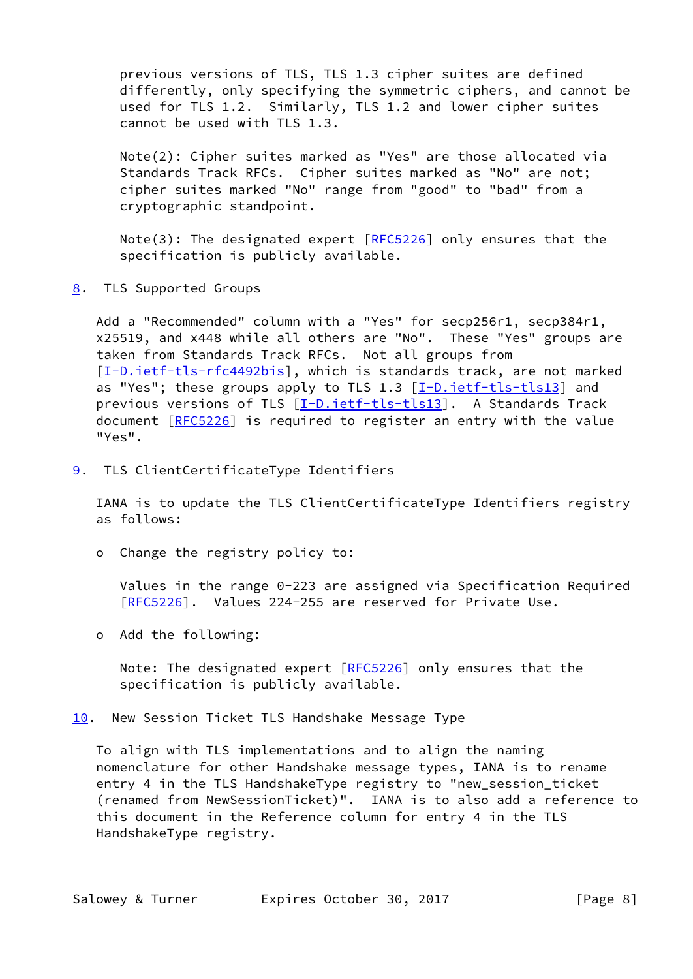previous versions of TLS, TLS 1.3 cipher suites are defined differently, only specifying the symmetric ciphers, and cannot be used for TLS 1.2. Similarly, TLS 1.2 and lower cipher suites cannot be used with TLS 1.3.

 Note(2): Cipher suites marked as "Yes" are those allocated via Standards Track RFCs. Cipher suites marked as "No" are not; cipher suites marked "No" range from "good" to "bad" from a cryptographic standpoint.

Note(3): The designated expert  $[REC5226]$  only ensures that the specification is publicly available.

<span id="page-8-0"></span>[8](#page-8-0). TLS Supported Groups

 Add a "Recommended" column with a "Yes" for secp256r1, secp384r1, x25519, and x448 while all others are "No". These "Yes" groups are taken from Standards Track RFCs. Not all groups from [\[I-D.ietf-tls-rfc4492bis](#page-13-2)], which is standards track, are not marked as "Yes"; these groups apply to TLS 1.3 [\[I-D.ietf-tls-tls13\]](#page-12-3) and previous versions of TLS [\[I-D.ietf-tls-tls13\]](#page-12-3). A Standards Track document [\[RFC5226](https://datatracker.ietf.org/doc/pdf/rfc5226)] is required to register an entry with the value "Yes".

<span id="page-8-1"></span>[9](#page-8-1). TLS ClientCertificateType Identifiers

 IANA is to update the TLS ClientCertificateType Identifiers registry as follows:

o Change the registry policy to:

 Values in the range 0-223 are assigned via Specification Required [[RFC5226\]](https://datatracker.ietf.org/doc/pdf/rfc5226). Values 224-255 are reserved for Private Use.

o Add the following:

Note: The designated expert [\[RFC5226](https://datatracker.ietf.org/doc/pdf/rfc5226)] only ensures that the specification is publicly available.

<span id="page-8-2"></span>[10.](#page-8-2) New Session Ticket TLS Handshake Message Type

 To align with TLS implementations and to align the naming nomenclature for other Handshake message types, IANA is to rename entry 4 in the TLS HandshakeType registry to "new\_session\_ticket (renamed from NewSessionTicket)". IANA is to also add a reference to this document in the Reference column for entry 4 in the TLS HandshakeType registry.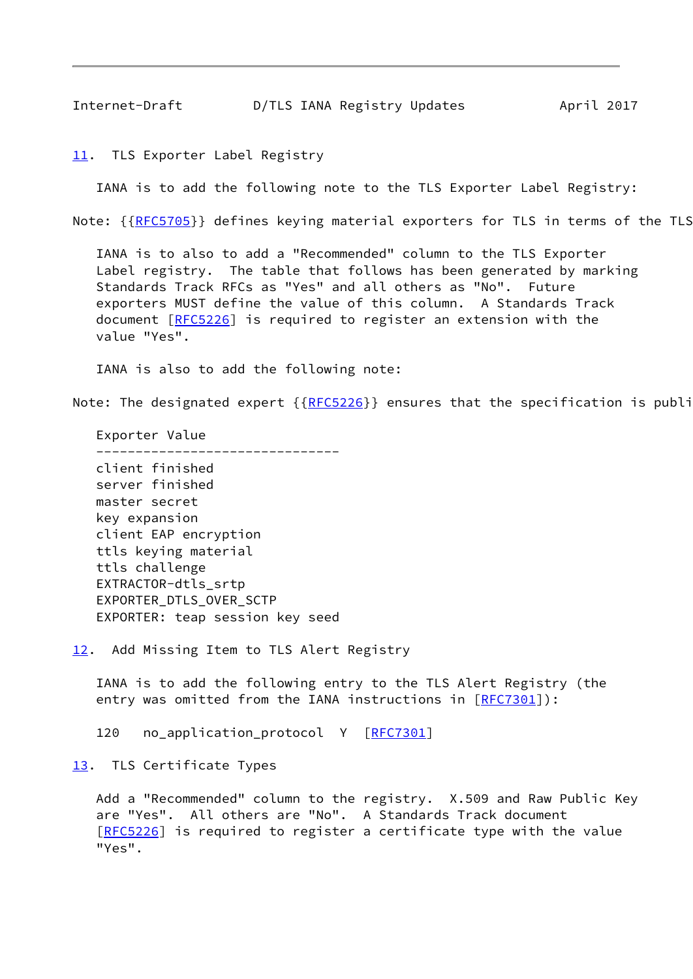<span id="page-9-1"></span><span id="page-9-0"></span>[11.](#page-9-0) TLS Exporter Label Registry

IANA is to add the following note to the TLS Exporter Label Registry:

Note: {[{RFC5705](https://datatracker.ietf.org/doc/pdf/rfc5705)}} defines keying material exporters for TLS in terms of the TLS

 IANA is to also to add a "Recommended" column to the TLS Exporter Label registry. The table that follows has been generated by marking Standards Track RFCs as "Yes" and all others as "No". Future exporters MUST define the value of this column. A Standards Track document [\[RFC5226](https://datatracker.ietf.org/doc/pdf/rfc5226)] is required to register an extension with the value "Yes".

IANA is also to add the following note:

Note: The designated expert  ${RFC5226}$  ${RFC5226}$  ${RFC5226}$  ensures that the specification is publi

 Exporter Value ------------------------------ client finished server finished master secret key expansion client EAP encryption ttls keying material ttls challenge EXTRACTOR-dtls\_srtp EXPORTER\_DTLS\_OVER\_SCTP EXPORTER: teap session key seed

<span id="page-9-2"></span>[12.](#page-9-2) Add Missing Item to TLS Alert Registry

 IANA is to add the following entry to the TLS Alert Registry (the entry was omitted from the IANA instructions in [\[RFC7301](https://datatracker.ietf.org/doc/pdf/rfc7301)]):

120 no\_application\_protocol Y [[RFC7301](https://datatracker.ietf.org/doc/pdf/rfc7301)]

<span id="page-9-3"></span>[13.](#page-9-3) TLS Certificate Types

 Add a "Recommended" column to the registry. X.509 and Raw Public Key are "Yes". All others are "No". A Standards Track document [\[RFC5226](https://datatracker.ietf.org/doc/pdf/rfc5226)] is required to register a certificate type with the value "Yes".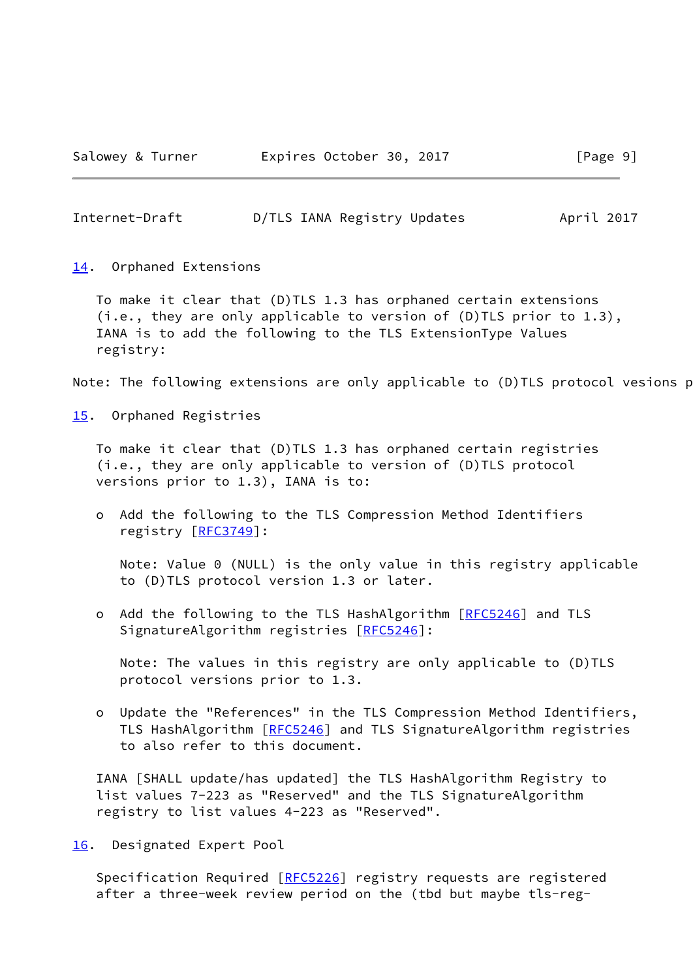<span id="page-10-1"></span>Internet-Draft D/TLS IANA Registry Updates April 2017

<span id="page-10-0"></span>[14.](#page-10-0) Orphaned Extensions

 To make it clear that (D)TLS 1.3 has orphaned certain extensions (i.e., they are only applicable to version of (D)TLS prior to 1.3), IANA is to add the following to the TLS ExtensionType Values registry:

Note: The following extensions are only applicable to (D)TLS protocol vesions p

<span id="page-10-2"></span>[15.](#page-10-2) Orphaned Registries

 To make it clear that (D)TLS 1.3 has orphaned certain registries (i.e., they are only applicable to version of (D)TLS protocol versions prior to 1.3), IANA is to:

 o Add the following to the TLS Compression Method Identifiers registry [\[RFC3749](https://datatracker.ietf.org/doc/pdf/rfc3749)]:

 Note: Value 0 (NULL) is the only value in this registry applicable to (D)TLS protocol version 1.3 or later.

o Add the following to the TLS HashAlgorithm [[RFC5246](https://datatracker.ietf.org/doc/pdf/rfc5246)] and TLS SignatureAlgorithm registries [\[RFC5246](https://datatracker.ietf.org/doc/pdf/rfc5246)]:

 Note: The values in this registry are only applicable to (D)TLS protocol versions prior to 1.3.

 o Update the "References" in the TLS Compression Method Identifiers, TLS HashAlgorithm [\[RFC5246](https://datatracker.ietf.org/doc/pdf/rfc5246)] and TLS SignatureAlgorithm registries to also refer to this document.

 IANA [SHALL update/has updated] the TLS HashAlgorithm Registry to list values 7-223 as "Reserved" and the TLS SignatureAlgorithm registry to list values 4-223 as "Reserved".

<span id="page-10-3"></span>[16.](#page-10-3) Designated Expert Pool

Specification Required [\[RFC5226](https://datatracker.ietf.org/doc/pdf/rfc5226)] registry requests are registered after a three-week review period on the (tbd but maybe tls-reg-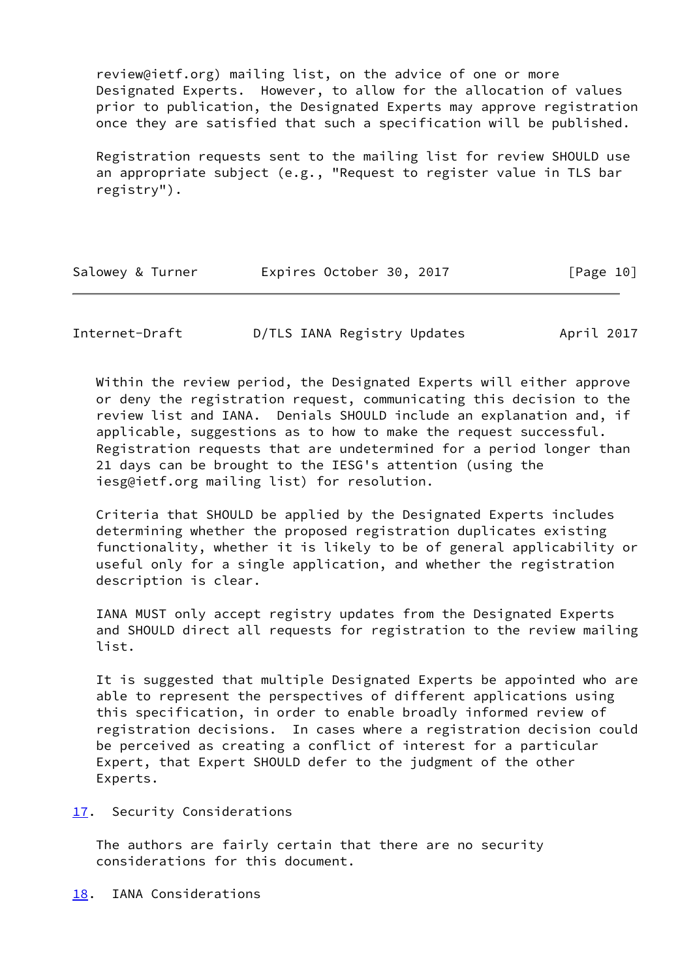review@ietf.org) mailing list, on the advice of one or more Designated Experts. However, to allow for the allocation of values prior to publication, the Designated Experts may approve registration once they are satisfied that such a specification will be published.

 Registration requests sent to the mailing list for review SHOULD use an appropriate subject (e.g., "Request to register value in TLS bar registry").

| Salowey & Turner | Expires October 30, 2017 |  | [Page 10] |
|------------------|--------------------------|--|-----------|
|                  |                          |  |           |

<span id="page-11-1"></span>Internet-Draft D/TLS IANA Registry Updates April 2017

 Within the review period, the Designated Experts will either approve or deny the registration request, communicating this decision to the review list and IANA. Denials SHOULD include an explanation and, if applicable, suggestions as to how to make the request successful. Registration requests that are undetermined for a period longer than 21 days can be brought to the IESG's attention (using the iesg@ietf.org mailing list) for resolution.

 Criteria that SHOULD be applied by the Designated Experts includes determining whether the proposed registration duplicates existing functionality, whether it is likely to be of general applicability or useful only for a single application, and whether the registration description is clear.

 IANA MUST only accept registry updates from the Designated Experts and SHOULD direct all requests for registration to the review mailing list.

 It is suggested that multiple Designated Experts be appointed who are able to represent the perspectives of different applications using this specification, in order to enable broadly informed review of registration decisions. In cases where a registration decision could be perceived as creating a conflict of interest for a particular Expert, that Expert SHOULD defer to the judgment of the other Experts.

<span id="page-11-0"></span>[17.](#page-11-0) Security Considerations

 The authors are fairly certain that there are no security considerations for this document.

<span id="page-11-2"></span>[18.](#page-11-2) IANA Considerations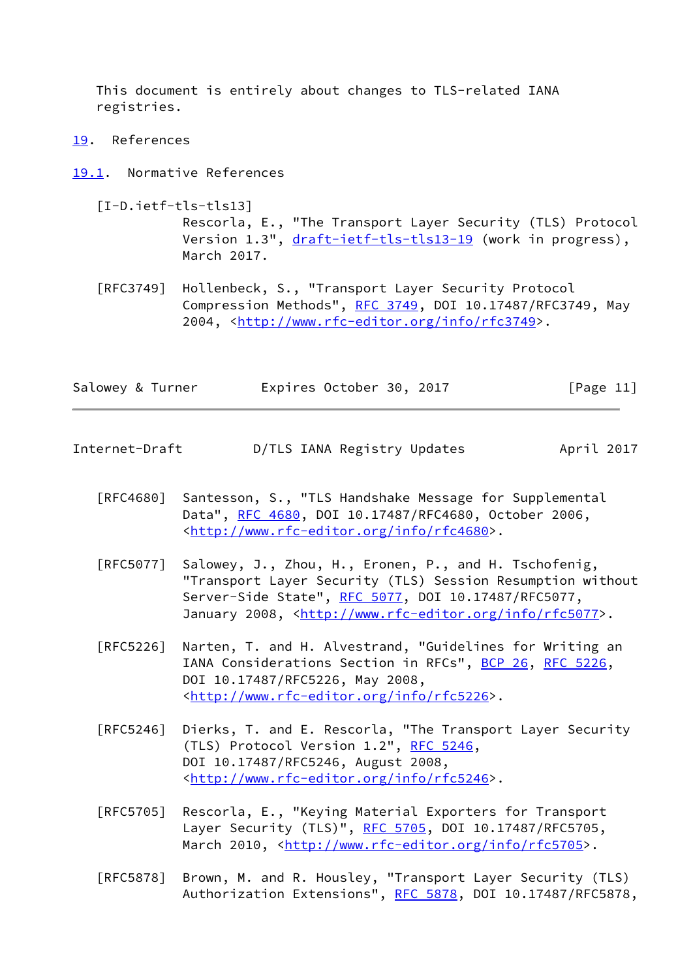This document is entirely about changes to TLS-related IANA registries.

<span id="page-12-0"></span>[19.](#page-12-0) References

<span id="page-12-1"></span>[19.1](#page-12-1). Normative References

- <span id="page-12-3"></span> [I-D.ietf-tls-tls13] Rescorla, E., "The Transport Layer Security (TLS) Protocol Version 1.3", [draft-ietf-tls-tls13-19](https://datatracker.ietf.org/doc/pdf/draft-ietf-tls-tls13-19) (work in progress), March 2017.
- [RFC3749] Hollenbeck, S., "Transport Layer Security Protocol Compression Methods", [RFC 3749](https://datatracker.ietf.org/doc/pdf/rfc3749), DOI 10.17487/RFC3749, May 2004, [<http://www.rfc-editor.org/info/rfc3749](http://www.rfc-editor.org/info/rfc3749)>.

| Salowey & Turner |  | Expires October 30, 2017 |  |  | [Page 11] |
|------------------|--|--------------------------|--|--|-----------|
|------------------|--|--------------------------|--|--|-----------|

- <span id="page-12-2"></span>Internet-Draft D/TLS IANA Registry Updates April 2017
	- [RFC4680] Santesson, S., "TLS Handshake Message for Supplemental Data", [RFC 4680](https://datatracker.ietf.org/doc/pdf/rfc4680), DOI 10.17487/RFC4680, October 2006, <<http://www.rfc-editor.org/info/rfc4680>>.
	- [RFC5077] Salowey, J., Zhou, H., Eronen, P., and H. Tschofenig, "Transport Layer Security (TLS) Session Resumption without Server-Side State", [RFC 5077,](https://datatracker.ietf.org/doc/pdf/rfc5077) DOI 10.17487/RFC5077, January 2008, [<http://www.rfc-editor.org/info/rfc5077](http://www.rfc-editor.org/info/rfc5077)>.
	- [RFC5226] Narten, T. and H. Alvestrand, "Guidelines for Writing an IANA Considerations Section in RFCs", [BCP 26](https://datatracker.ietf.org/doc/pdf/bcp26), [RFC 5226](https://datatracker.ietf.org/doc/pdf/rfc5226), DOI 10.17487/RFC5226, May 2008, <<http://www.rfc-editor.org/info/rfc5226>>.
	- [RFC5246] Dierks, T. and E. Rescorla, "The Transport Layer Security (TLS) Protocol Version 1.2", [RFC 5246](https://datatracker.ietf.org/doc/pdf/rfc5246), DOI 10.17487/RFC5246, August 2008, <<http://www.rfc-editor.org/info/rfc5246>>.
	- [RFC5705] Rescorla, E., "Keying Material Exporters for Transport Layer Security (TLS)", [RFC 5705](https://datatracker.ietf.org/doc/pdf/rfc5705), DOI 10.17487/RFC5705, March 2010, [<http://www.rfc-editor.org/info/rfc5705](http://www.rfc-editor.org/info/rfc5705)>.
	- [RFC5878] Brown, M. and R. Housley, "Transport Layer Security (TLS) Authorization Extensions", [RFC 5878](https://datatracker.ietf.org/doc/pdf/rfc5878), DOI 10.17487/RFC5878,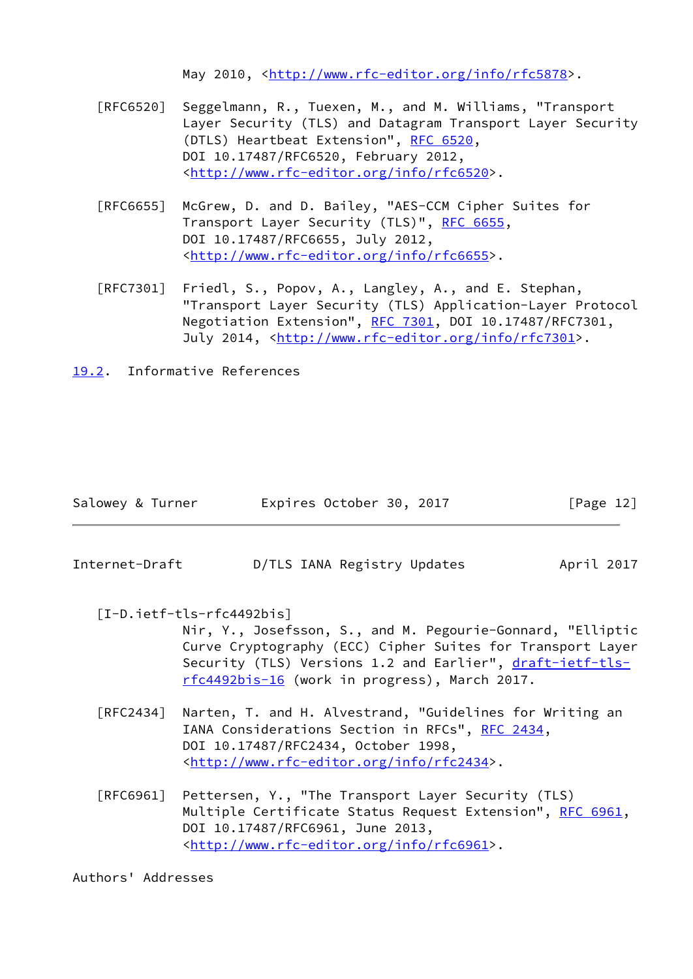May 2010, [<http://www.rfc-editor.org/info/rfc5878](http://www.rfc-editor.org/info/rfc5878)>.

- [RFC6520] Seggelmann, R., Tuexen, M., and M. Williams, "Transport Layer Security (TLS) and Datagram Transport Layer Security (DTLS) Heartbeat Extension", [RFC 6520](https://datatracker.ietf.org/doc/pdf/rfc6520), DOI 10.17487/RFC6520, February 2012, <<http://www.rfc-editor.org/info/rfc6520>>.
- [RFC6655] McGrew, D. and D. Bailey, "AES-CCM Cipher Suites for Transport Layer Security (TLS)", [RFC 6655,](https://datatracker.ietf.org/doc/pdf/rfc6655) DOI 10.17487/RFC6655, July 2012, <<http://www.rfc-editor.org/info/rfc6655>>.
- [RFC7301] Friedl, S., Popov, A., Langley, A., and E. Stephan, "Transport Layer Security (TLS) Application-Layer Protocol Negotiation Extension", [RFC 7301,](https://datatracker.ietf.org/doc/pdf/rfc7301) DOI 10.17487/RFC7301, July 2014, <<http://www.rfc-editor.org/info/rfc7301>>.
- <span id="page-13-0"></span>[19.2](#page-13-0). Informative References

| Salowey & Turner |  | Expires October 30, 2017 |  |  | [Page 12] |  |
|------------------|--|--------------------------|--|--|-----------|--|
|------------------|--|--------------------------|--|--|-----------|--|

<span id="page-13-1"></span>Internet-Draft D/TLS IANA Registry Updates April 2017

<span id="page-13-2"></span> [I-D.ietf-tls-rfc4492bis] Nir, Y., Josefsson, S., and M. Pegourie-Gonnard, "Elliptic Curve Cryptography (ECC) Cipher Suites for Transport Layer Security (TLS) Versions 1.2 and Earlier", [draft-ietf-tls](https://datatracker.ietf.org/doc/pdf/draft-ietf-tls-rfc4492bis-16) [rfc4492bis-16](https://datatracker.ietf.org/doc/pdf/draft-ietf-tls-rfc4492bis-16) (work in progress), March 2017.

- [RFC2434] Narten, T. and H. Alvestrand, "Guidelines for Writing an IANA Considerations Section in RFCs", [RFC 2434](https://datatracker.ietf.org/doc/pdf/rfc2434), DOI 10.17487/RFC2434, October 1998, <<http://www.rfc-editor.org/info/rfc2434>>.
- [RFC6961] Pettersen, Y., "The Transport Layer Security (TLS) Multiple Certificate Status Request Extension", [RFC 6961,](https://datatracker.ietf.org/doc/pdf/rfc6961) DOI 10.17487/RFC6961, June 2013, <<http://www.rfc-editor.org/info/rfc6961>>.

Authors' Addresses